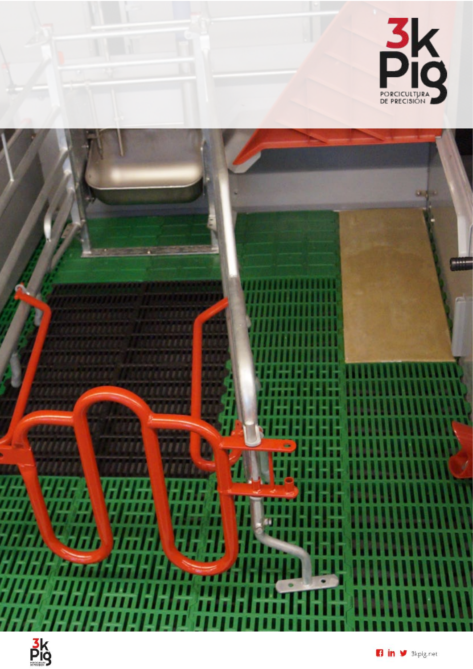



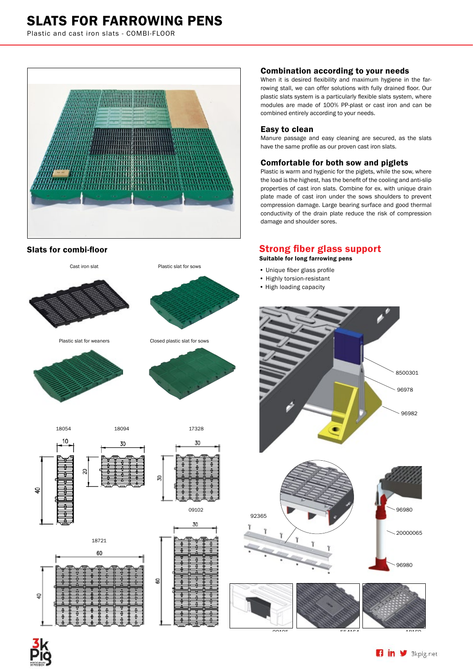# SLATS FOR FARROWING PENS

Plastic and cast iron slats - COMBI-FLOOR



Slats for combi-floor



#### Combination according to your needs

When it is desired flexibility and maximum hygiene in the farrowing stall, we can offer solutions with fully drained floor. Our plastic slats system is a particularly flexible slats system, where modules are made of 100% PP-plast or cast iron and can be combined entirely according to your needs.

#### Easy to clean

Manure passage and easy cleaning are secured, as the slats have the same profile as our proven cast iron slats.

#### Comfortable for both sow and piglets

Plastic is warm and hygienic for the piglets, while the sow, where the load is the highest, has the benefit of the cooling and anti-slip properties of cast iron slats. Combine for ex. with unique drain plate made of cast iron under the sows shoulders to prevent compression damage. Large bearing surface and good thermal conductivity of the drain plate reduce the risk of compression damage and shoulder sores.

### Strong fiber glass support

Suitable for long farrowing pens

- Unique fiber glass profile
- Highly torsion-resistant
- High loading capacity



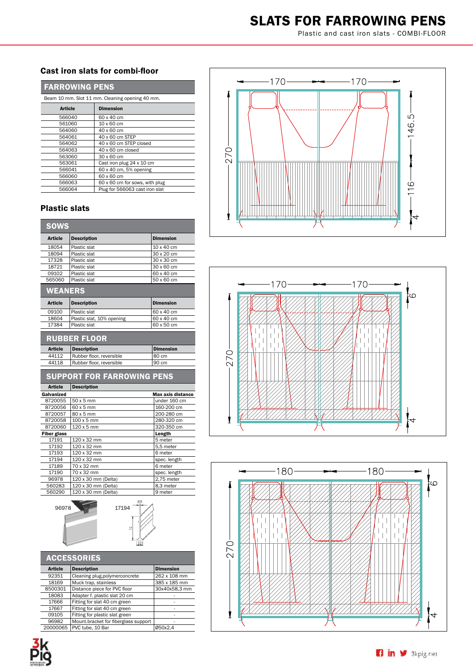# SLATS FOR FARROWING PENS

Plastic and cast iron slats - COMBI-FLOOR

## Cast iron slats for combi-floor

| <b>FARROWING PENS</b> |
|-----------------------|
|-----------------------|

| Beam 10 mm. Slot 11 mm. Cleaning opening 40 mm. |                                |
|-------------------------------------------------|--------------------------------|
| <b>Article</b>                                  | <b>Dimension</b>               |
| 566040                                          | 60 x 40 cm                     |
| 561060                                          | 10 x 60 cm                     |
| 564060                                          | 40 x 60 cm                     |
| 564061                                          | 40 x 60 cm STEP                |
| 564062                                          | 40 x 60 cm STEP closed         |
| 564063                                          | 40 x 60 cm closed              |
| 563060                                          | 30 x 60 cm                     |
| 563061                                          | Cast iron plug 24 x 10 cm      |
| 566041                                          | 60 x 40 cm, 5% opening         |
| 566060                                          | 60 x 60 cm                     |
| 566063                                          | 60 x 60 cm for sows, with plug |
| 566064                                          | Plug for 566063 cast iron slat |

## Plastic slats

| <b>SOWS</b>    |                    |                  |
|----------------|--------------------|------------------|
| <b>Article</b> | <b>Description</b> | <b>Dimension</b> |
| 18054          | Plastic slat       | 10 x 40 cm       |
| 18094          | Plastic slat       | 30 x 20 cm       |
| 17328          | Plastic slat       | 30 x 30 cm       |
| 18721          | Plastic slat       | 30 x 60 cm       |
| 09102          | Plastic slat       | 60 x 40 cm       |
| 565060         | Plastic slat       | 50 x 60 cm       |

# **WEANERS**

| <b>Article</b> | <b>Description</b>        | <b>Dimension</b> |
|----------------|---------------------------|------------------|
| 09100          | Plastic slat              | 160 x 40 cm      |
| 18604          | Plastic slat, 10% opening | 160 x 40 cm      |
| 17384          | Plastic slat              | 160 x 50 cm      |
|                |                           |                  |

## RUBBER FLOOR

| <b>Article</b> | Description              | Dimension |
|----------------|--------------------------|-----------|
| 44112          | Rubber floor, reversible | 180 cm    |
| 44118          | Rubber floor, reversible | 90 cm     |

| <b>SUPPORT FOR FARROWING PENS</b> |                          |
|-----------------------------------|--------------------------|
| <b>Description</b>                |                          |
|                                   | <b>Max axis distance</b> |
| 50 x 5 mm                         | under 160 cm             |
| 60 x 5 mm                         | 160-200 cm               |
| 80 x 5 mm                         | 200-280 cm               |
| $100 \times 5$ mm                 | 280-320 cm               |
| 120 x 5 mm                        | 320-350 cm               |
|                                   | Length                   |
| 120 x 32 mm                       | 5 meter                  |
| 120 x 32 mm                       | 5.5 meter                |
| 120 x 32 mm                       | 6 meter                  |
| 120 x 32 mm                       | spec. length             |
| 70 x 32 mm                        | 6 meter                  |
| 70 x 32 mm                        | spec. length             |
| 120 x 30 mm (Delta)               | 2,75 meter               |
| 120 x 30 mm (Delta)               | 8,3 meter                |
|                                   |                          |





| <b>ACCESSORIES</b> |                                      |                  |
|--------------------|--------------------------------------|------------------|
| <b>Article</b>     | <b>Description</b>                   | <b>Dimension</b> |
| 92351              | Cleaning plug, polymerconcrete       | 262 x 108 mm     |
| 18169              | Muck trap, stainless                 | 385 x 185 mm     |
| 8500301            | Distance piece for PVC floor         | 30x40x58,3 mm    |
| 18083              | Adapter f. plastic slat 20 cm        |                  |
| 17666              | Fitting for slat 40 cm green         |                  |
| 17667              | Fitting for slat 40 cm green         | ٠                |
| 09105              | Fitting for plastic slat green       | ٠                |
| 96982              | Mount bracket for fiberglass support | ۰                |
| 20000065           | PVC tube, 10 Bar                     | Ø50x2.4          |